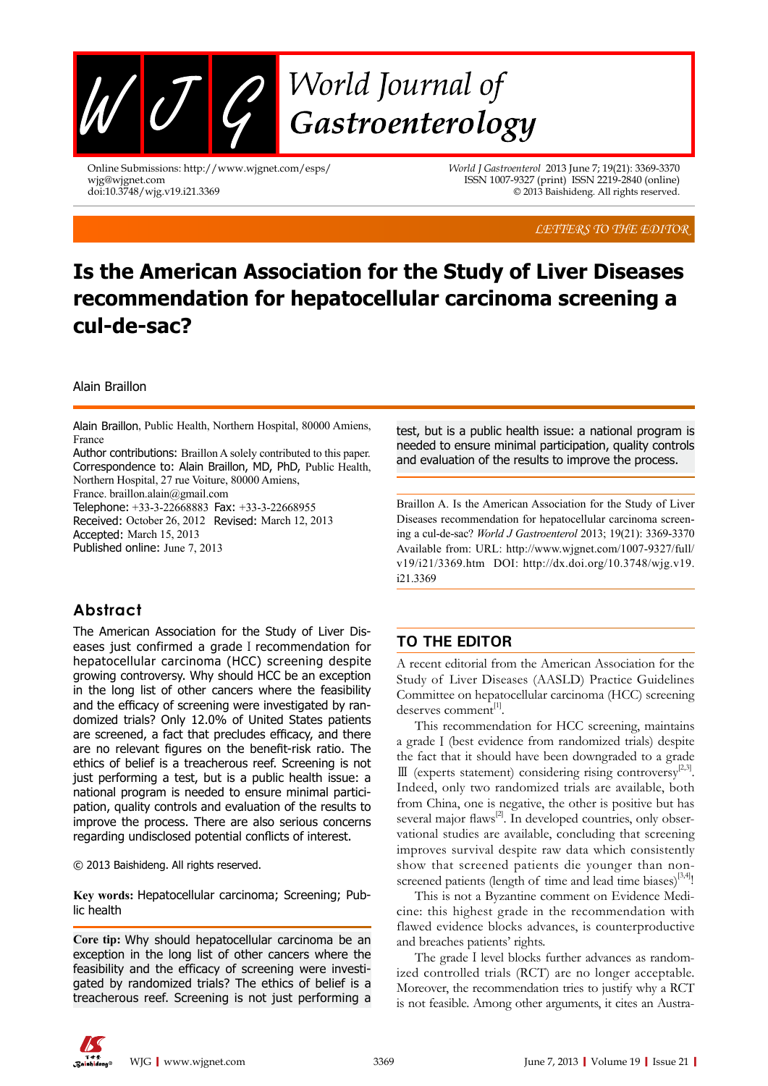

Online Submissions: http://www.wjgnet.com/esps/ wjg@wjgnet.com doi:10.3748/wjg.v19.i21.3369

*World J Gastroenterol* 2013 June 7; 19(21): 3369-3370 ISSN 1007-9327 (print) ISSN 2219-2840 (online) © 2013 Baishideng. All rights reserved.

*LETTERS TO THE EDITOR*

# **Is the American Association for the Study of Liver Diseases recommendation for hepatocellular carcinoma screening a cul-de-sac?**

### Alain Braillon

Alain Braillon, Public Health, Northern Hospital, 80000 Amiens, France

Author contributions: Braillon A solely contributed to this paper. Correspondence to: Alain Braillon, MD, PhD, Public Health, Northern Hospital, 27 rue Voiture, 80000 Amiens,

France. braillon.alain@gmail.com

Telephone: +33-3-22668883 Fax: +33-3-22668955 Received: October 26, 2012 Revised: March 12, 2013 Accepted: March 15, 2013 Published online: June 7, 2013

## **Abstract**

The American Association for the Study of Liver Diseases just confirmed a gradeⅠ recommendation for hepatocellular carcinoma (HCC) screening despite growing controversy. Why should HCC be an exception in the long list of other cancers where the feasibility and the efficacy of screening were investigated by randomized trials? Only 12.0% of United States patients are screened, a fact that precludes efficacy, and there are no relevant figures on the benefit-risk ratio. The ethics of belief is a treacherous reef. Screening is not just performing a test, but is a public health issue: a national program is needed to ensure minimal participation, quality controls and evaluation of the results to improve the process. There are also serious concerns regarding undisclosed potential conflicts of interest.

© 2013 Baishideng. All rights reserved.

**Key words:** Hepatocellular carcinoma; Screening; Public health

**Core tip:** Why should hepatocellular carcinoma be an exception in the long list of other cancers where the feasibility and the efficacy of screening were investigated by randomized trials? The ethics of belief is a treacherous reef. Screening is not just performing a test, but is a public health issue: a national program is needed to ensure minimal participation, quality controls and evaluation of the results to improve the process.

Braillon A. Is the American Association for the Study of Liver Diseases recommendation for hepatocellular carcinoma screening a cul-de-sac? *World J Gastroenterol* 2013; 19(21): 3369-3370 Available from: URL: http://www.wjgnet.com/1007-9327/full/ v19/i21/3369.htm DOI: http://dx.doi.org/10.3748/wjg.v19. i21.3369

### **TO THE EDITOR**

A recent editorial from the American Association for the Study of Liver Diseases (AASLD) Practice Guidelines Committee on hepatocellular carcinoma (HCC) screening deserves comment<sup>[1]</sup>.

This recommendation for HCC screening, maintains a grade Ⅰ (best evidence from randomized trials) despite the fact that it should have been downgraded to a grade Ⅲ (experts statement) considering rising controversy[2,3]. Indeed, only two randomized trials are available, both from China, one is negative, the other is positive but has several major flaws<sup>[2]</sup>. In developed countries, only observational studies are available, concluding that screening improves survival despite raw data which consistently show that screened patients die younger than nonscreened patients (length of time and lead time biases)<sup>[3,4]</sup>!

This is not a Byzantine comment on Evidence Medicine: this highest grade in the recommendation with flawed evidence blocks advances, is counterproductive and breaches patients' rights.

The grade I level blocks further advances as randomized controlled trials (RCT) are no longer acceptable. Moreover, the recommendation tries to justify why a RCT is not feasible. Among other arguments, it cites an Austra